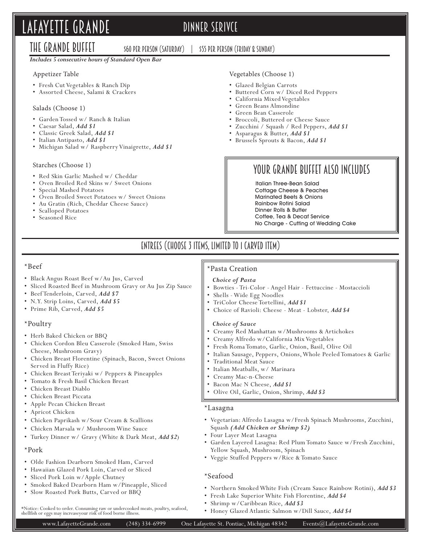# LAFAYETTE GRANDE DINNER SERIVCE

The Grande Buffet

\$60 per person (Saturday) | \$55 Per Person (Friday & Sunday)

## *Includes 5 consecutive hours of Standard Open Bar*

## Appetizer Table

- Fresh Cut Vegetables & Ranch Dip
- Assorted Cheese, Salami & Crackers

## Salads (Choose 1)

- Garden Tossed w/ Ranch & Italian
- Caesar Salad, *Add \$1*
- Classic Greek Salad, *Add \$1*
- Italian Antipasto, *Add \$1*
- Michigan Salad w/ Raspberry Vinaigrette, *Add \$1*

## Starches (Choose 1)

- Red Skin Garlic Mashed w/ Cheddar
- Oven Broiled Red Skins w/ Sweet Onions
- Special Mashed Potatoes
- Oven Broiled Sweet Potatoes w/ Sweet Onions
- Au Gratin (Rich, Cheddar Cheese Sauce)
- Scalloped Potatoes
- Seasoned Rice

## Vegetables (Choose 1)

### • Glazed Belgian Carrots

- Buttered Corn w/ Diced Red Peppers
- California Mixed Vegetables
- Green Beans Almondine
- Green Bean Casserole
- Broccoli, Buttered or Cheese Sauce
- Zucchini / Squash / Red Peppers, *Add \$1*
- Asparagus & Butter, *Add \$1*
- Brussels Sprouts & Bacon, *Add \$1*

## Your Grande Buffet Also Includes

 Italian Three-Bean Salad Cottage Cheese & Peaches Marinated Beets & Onions Rainbow Rotini Salad Dinner Rolls & Butter Coffee, Tea & Decaf Service No Charge - Cutting of Wedding Cake

## Entrees (Choose 3 Items, Limited to 1 Carved Item)

## \*Beef

- Black Angus Roast Beef w/Au Jus, Carved
- Sliced Roasted Beef in Mushroom Gravy or Au Jus Zip Sauce
- Beef Tenderloin, Carved, *Add \$7*
- N.Y. Strip Loins, Carved, *Add \$5*
- Prime Rib, Carved, *Add \$5*

## \*Poultry

- Herb Baked Chicken or BBQ
- Chicken Cordon Bleu Casserole (Smoked Ham, Swiss Cheese, Mushroom Gravy)
- Chicken Breast Florentine (Spinach, Bacon, Sweet Onions Served in Fluffy Rice)
- Chicken Breast Teriyaki w/ Peppers & Pineapples
- Tomato & Fresh Basil Chicken Breast
- Chicken Breast Diablo
- Chicken Breast Piccata
- Apple Pecan Chicken Breast
- Apricot Chicken
- Chicken Paprikash w/Sour Cream & Scallions
- Chicken Marsala w/ Mushroom Wine Sauce
- Turkey Dinner w/ Gravy (White & Dark Meat, *Add \$2*)

## \*Pork

- Olde Fashion Dearborn Smoked Ham, Carved
- Hawaiian Glazed Pork Loin, Carved or Sliced
- Sliced Pork Loin w/Apple Chutney
- Smoked Baked Dearborn Ham w/Pineapple, Sliced

\*Notice: Cooked to order. Consuming raw or undercooked meats, poultry, seafood, shellfish or eggs may increaseyour risk of food borne illness.

• Slow Roasted Pork Butts, Carved or BBQ

## \*Pasta Creation

### *Choice of Pasta*

- Bowties Tri-Color Angel Hair Fettuccine Mostaccioli
- Shells Wide Egg Noodles
- TriColor Cheese Tortellini, *Add \$1*
- Choice of Ravioli: Cheese Meat Lobster, *Add \$4*

### *Choice of Sauce*

- Creamy Red Manhattan w/Mushrooms & Artichokes
- Creamy Alfredo w/California Mix Vegetables
- Fresh Roma Tomato, Garlic, Onion, Basil, Olive Oil
- Italian Sausage, Peppers, Onions, Whole Peeled Tomatoes & Garlic
- Traditional Meat Sauce
- Italian Meatballs, w/ Marinara
- Creamy Mac-n-Cheese
- Bacon Mac N Cheese, *Add \$1*
- Olive Oil, Garlic, Onion, Shrimp, *Add \$3*

### \*Lasagna

- Vegetarian: Alfredo Lasagna w/Fresh Spinach Mushrooms, Zucchini, Squash *(Add Chicken or Shrimp \$2)*
- Four Layer Meat Lasagna
- Garden Layered Lasagna: Red Plum Tomato Sauce w/Fresh Zucchini, Yellow Squash, Mushroom, Spinach
- Veggie Stuffed Peppers w/Rice & Tomato Sauce

## \*Seafood

- Northern Smoked White Fish (Cream Sauce Rainbow Rotini), *Add \$3*
- Fresh Lake Superior White Fish Florentine, *Add \$4*
- Shrimp w/Caribbean Rice, *Add \$3*
- Honey Glazed Atlantic Salmon w/Dill Sauce, *Add \$4*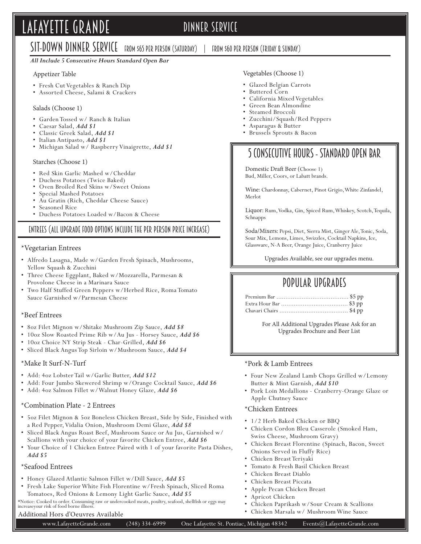# LAFAYETTE GRANDE DINNER SERVICE

## SIT-DOWN DINNER SERVICE FROM \$65 PER PERSON (SATURDAY) | FROM \$60 PER PERSON (FRIDAY & SUNDAY)

#### *All Include 5 Consecutive Hours Standard Open Bar*

#### Appetizer Table

- Fresh Cut Vegetables & Ranch Dip
- Assorted Cheese, Salami & Crackers

#### Salads (Choose 1)

- Garden Tossed w/ Ranch & Italian
- Caesar Salad, *Add \$1*
- Classic Greek Salad, *Add \$1*
- Italian Antipasto, *Add \$1*
- Michigan Salad w/ Raspberry Vinaigrette, *Add \$1*

#### Starches (Choose 1)

- Red Skin Garlic Mashed w/Cheddar
- Duchess Potatoes (Twice Baked)
- Oven Broiled Red Skins w/Sweet Onions
- Special Mashed Potatoes
- Au Gratin (Rich, Cheddar Cheese Sauce)
- Seasoned Rice
- Duchess Potatoes Loaded w/Bacon & Cheese

## Entrees (all upgrade food options include the per person price increase)

#### \*Vegetarian Entrees

- Alfredo Lasagna, Made w/Garden Fresh Spinach, Mushrooms, Yellow Squash & Zucchini
- Three Cheese Eggplant, Baked w/Mozzarella, Parmesan & Provolone Cheese in a Marinara Sauce
- Two Half Stuffed Green Peppers w/Herbed Rice, Roma Tomato Sauce Garnished w/Parmesan Cheese

### \*Beef Entrees

- 8oz Filet Mignon w/Shitake Mushroom Zip Sauce, *Add \$8*
- 10oz Slow Roasted Prime Rib w/Au Jus Horsey Sauce, *Add \$6*
- 10oz Choice NY Strip Steak Char-Grilled, *Add \$6*
- Sliced Black Angus Top Sirloin w/Mushroom Sauce, *Add \$4*

#### \*Make It Surf-N-Turf

- Add: 4oz Lobster Tail w/Garlic Butter, *Add \$12*
- Add: Four Jumbo Skewered Shrimp w/Orange Cocktail Sauce, *Add \$6*
- Add: 4oz Salmon Fillet w/Walnut Honey Glaze, *Add \$6*

## \*Combination Plate - 2 Entrees

- 5oz Filet Mignon & 5oz Boneless Chicken Breast, Side by Side, Finished with a Red Pepper, Vidalia Onion, Mushroom Demi Glaze, *Add \$8*
- Sliced Black Angus Roast Beef, Mushroom Sauce or Au Jus, Garnished w/ Scallions with your choice of your favorite Chicken Entree, *Add \$6*
- Your Choice of 1 Chicken Entree Paired with 1 of your favorite Pasta Dishes, *Add \$5*

## \*Seafood Entrees

- Honey Glazed Atlantic Salmon Fillet w/Dill Sauce, *Add \$5*
- Fresh Lake Superior White Fish Florentine w/Fresh Spinach, Sliced Roma Tomatoes, Red Onions & Lemony Light Garlic Sauce, *Add \$5*

\*Notice: Cooked to order. Consuming raw or undercooked meats, poultry, seafood, shellfish or eggs may increaseyour risk of food borne illness.

## Additional Hors d'Oeuvres Available

## Vegetables (Choose 1) • Glazed Belgian Carrots

- Buttered Corn
- California Mixed Vegetables Green Bean Almondine
- Steamed Broccoli
- 
- Zucchini/Squash/Red Peppers • Asparagus & Butter
- Brussels Sprouts & Bacon
	-

## 5 Consecutive Hours - Standard Open Bar

Domestic Draft Beer (Choose 1) Bud, Miller, Coors, or Labatt brands.

Wine: Chardonnay, Cabernet, Pinot Grigio, White Zinfandel, Merlot

Liquor: Rum, Vodka, Gin, Spiced Rum, Whiskey, Scotch, Tequila, Schnapps

Soda/Mixers: Pepsi, Diet, Sierra Mist, Ginger Ale, Tonic, Soda, Sour Mix, Lemons, Limes, Swizzles, Cocktail Napkins, Ice, Glassware, N-A Beer, Orange Juice, Cranberry Juice

Upgrades Available, see our upgrades menu.

## Popular Upgrades

For All Additional Upgrades Please Ask for an Upgrades Brochure and Beer List

### \*Pork & Lamb Entrees

- Four New Zealand Lamb Chops Grilled w/Lemony Butter & Mint Garnish, *Add \$10*
- Pork Loin Medallions Cranberry-Orange Glaze or Apple Chutney Sauce

#### \*Chicken Entrees

- 1/2 Herb Baked Chicken or BBO
- Chicken Cordon Bleu Casserole (Smoked Ham, Swiss Cheese, Mushroom Gravy)
- Chicken Breast Florentine (Spinach, Bacon, Sweet Onions Served in Fluffy Rice)
- Chicken Breast Teriyaki
- Tomato & Fresh Basil Chicken Breast
- Chicken Breast Diablo
- Chicken Breast Piccata
- Apple Pecan Chicken Breast
- Apricot Chicken
- Chicken Paprikash w/Sour Cream & Scallions
- Chicken Marsala w/ Mushroom Wine Sauce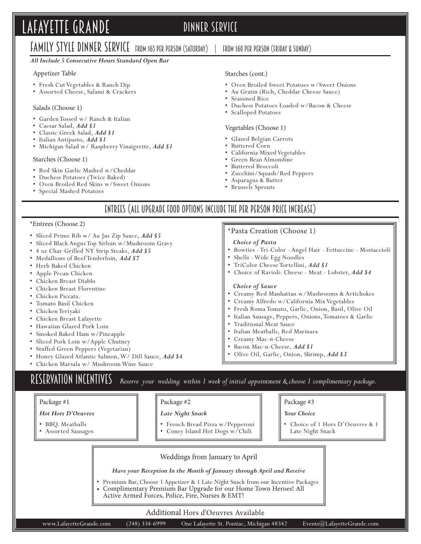# LAFAYETTE GRANDE DINNER SERVICE

## FAMILY STYLE DINNER SERVICE FROM \$65 PER PERSON (SATURDAY) | FROM \$60 PER PERSON (FRIDAY & SUNDAY)

#### *All Include 5 Consecutive Hours Standard Open Bar*

### Appetizer Table

- Fresh Cut Vegetables & Ranch Dip
- Assorted Cheese, Salami & Crackers

#### Salads (Choose 1)

- Garden Tossed w/ Ranch & Italian
- Caesar Salad, *Add \$1*
- Classic Greek Salad, *Add \$1*
- Italian Antipasto, *Add \$1*
- Michigan Salad w/ Raspberry Vinaigrette, *Add \$1*

#### Starches (Choose 1)

- Red Skin Garlic Mashed w/Cheddar
- Duchess Potatoes (Twice Baked)
- Oven Broiled Red Skins w/Sweet Onions
- Special Mashed Potatoes

#### Starches (cont.)

- Oven Broiled Sweet Potatoes w/Sweet Onions
- Au Gratin (Rich, Cheddar Cheese Sauce)
- Seasoned Rice
- Duchess Potatoes Loaded w/Bacon & Cheese
- Scalloped Potatoes

#### Vegetables (Choose 1)

- Glazed Belgian Carrots
- Buttered Corn
- California Mixed Vegetables
- Green Bean Almondine
- Buttered Broccoli
- Zucchini/Squash/Red Peppers

\*Pasta Creation (Choose 1)

• Shells - Wide Egg Noodles • TriColor Cheese Tortellini, *Add \$1*

- Asparagus & Butter
- Brussels Sprouts

*Choice of Pasta*

 *Choice of Sauce*

• Traditional Meat Sauce

• Italian Meatballs, Red Marinara • Creamy Mac-n-Cheese • Bacon Mac-n-Cheese, *Add \$1*

## Entrees (all upgrade food options include the per person price increase)

#### \*Entrees (Choose 2)

- Sliced Prime Rib w/ Au Jus Zip Sauce, *Add \$5*
- Sliced Black Angus Top Sirloin w/Mushroom Gravy
- 4 oz Char-Grilled NY Strip Steaks, *Add \$5*
- Medallions of Beef Tenderloin, *Add \$7*
- Herb Baked Chicken
- Apple Pecan Chicken
- Chicken Breast Diablo
- Chicken Breast Florentine
- Chicken Piccata.
- Tomato Basil Chicken
- Chicken Teriyaki
- Chicken Breast Lafayette
- Hawaiian Glazed Pork Loin
- Smoked Baked Ham w/Pineapple
- Sliced Pork Loin w/Apple Chutney
- Stuffed Green Peppers (Vegetarian)
- Honey Glazed Atlantic Salmon, W/ Dill Sauce, *Add \$4*
- Chicken Marsala w/ Mushroom Wine Sauce

RESERVATION INCENTIVES Reserve your wedding within 1 week of initial appointment & choose 1 complimentary package.

### Package #1

#### *Hot Hors D'Oeuvres*

- BBQ. Meatballs
- Assorted Sausages

| rackage |  |
|---------|--|
|---------|--|

- *Late Night Snack*
- French Bread Pizza w/Pepperoni
- Coney Island Hot Dogs w/Chili

### Package #3

• Bowties - Tri-Color - Angel Hair - Fettuccine - Mostaccioli

• Choice of Ravioli: Cheese - Meat - Lobster, *Add \$4*

• Creamy Red Manhattan w/Mushrooms & Artichokes • Creamy Alfredo w/California Mix Vegetables • Fresh Roma Tomato, Garlic, Onion, Basil, Olive Oil • Italian Sausage, Peppers, Onions, Tomatoes & Garlic

*Your Choice* 

- Choice of 1 Hors D'Oeuvres & 1 Late Night Snack
- Weddings from January to April

*Have your Reception In the Month of January through April and Receive*

• Premium Bar, Choose 1 Appetizer & 1 Late Night Snack from our Incentive Packages • Complimentary Premium Bar Upgrade for our Home Town Heroes! All

## Active Armed Forces, Police, Fire, Nurses & EMT!

### Additional Hors d'Oeuvres Available

• Olive Oil, Garlic, Onion, Shrimp, *Add \$3*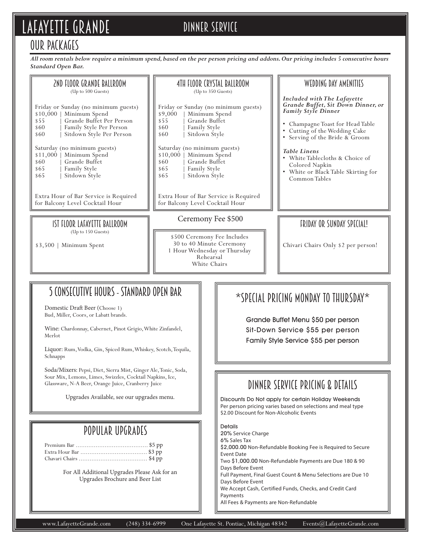# LAFAYETTE GRANDE DINNER SERVICE

## Our Packages

*All room rentals below require a minimum spend, based on the per person pricing and addons. Our pricing includes 5 consecutive hours Standard Open Bar.*

| 2ND FLOOR GRANDE BALLROOM<br>(Up to 500 Guests)                                                                                                                              | 4TH FLOOR CRYSTAL BALLROOM<br>(Up to 350 Guests)                                                                                           | WEDDING DAY AMENITIES                                                                                                                                                                         |
|------------------------------------------------------------------------------------------------------------------------------------------------------------------------------|--------------------------------------------------------------------------------------------------------------------------------------------|-----------------------------------------------------------------------------------------------------------------------------------------------------------------------------------------------|
| Friday or Sunday (no minimum guests)<br>Minimum Spend<br>\$10,000<br>Grande Buffet Per Person<br>\$55<br>Family Style Per Person<br>\$60<br>Sitdown Style Per Person<br>\$60 | Friday or Sunday (no minimum guests)<br>Minimum Spend<br>\$9,000<br>Grande Buffet<br>\$55<br>Family Style<br>\$60<br>Sitdown Style<br>\$60 | Included with The Lafayette<br>Grande Buffet, Sit Down Dinner, or<br>Family Style Dinner<br>Champagne Toast for Head Table<br>• Cutting of the Wedding Cake<br>• Serving of the Bride & Groom |
| Saturday (no minimum guests)<br>\$11,000<br>Minimum Spend<br>Grande Buffet<br>\$60<br>Family Style<br>\$65<br>Sitdown Style<br>\$65                                          | Saturday (no minimum guests)<br>\$10,000<br>Minimum Spend<br>Grande Buffet<br>\$60<br>Family Style<br>\$65<br>Sitdown Style<br>\$65        | <b>Table Linens</b><br>• White Tablecloths & Choice of<br>Colored Napkin<br>• White or Black Table Skirting for<br>Common Tables                                                              |
| Extra Hour of Bar Service is Required<br>for Balcony Level Cocktail Hour                                                                                                     | Extra Hour of Bar Service is Required<br>for Balcony Level Cocktail Hour                                                                   |                                                                                                                                                                                               |
| IST FLOOR LAFAYETTE BALLROOM                                                                                                                                                 | Ceremony Fee \$500                                                                                                                         | FRIDAY OR SUNDAY SPECIAL!                                                                                                                                                                     |
| (Up to 150 Guests)<br>Minimum Spent<br>$$3,500$                                                                                                                              | \$500 Ceremony Fee Includes<br>30 to 40 Minute Ceremony<br>1 Hour Wednesday or Thursday<br>Rehearsal<br>White Chairs                       | Chivari Chairs Only \$2 per person!                                                                                                                                                           |
|                                                                                                                                                                              |                                                                                                                                            |                                                                                                                                                                                               |
| 5 CONSECUTIVE HOURS - STANDARD OPEN BAR<br>$*$ SPECIAL PRICING MONDAY TO THURSDAY $*$<br>Domestic Draft Beer (Choose 1)                                                      |                                                                                                                                            |                                                                                                                                                                                               |

Bud, Miller, Coors, or Labatt brands.

Wine: Chardonnay, Cabernet, Pinot Grigio, White Zinfandel, Merlot

Liquor: Rum, Vodka, Gin, Spiced Rum, Whiskey, Scotch, Tequila, Schnapps

Soda/Mixers: Pepsi, Diet, Sierra Mist, Ginger Ale, Tonic, Soda, Sour Mix, Lemons, Limes, Swizzles, Cocktail Napkins, Ice, Glassware, N-A Beer, Orange Juice, Cranberry Juice

Upgrades Available, see our upgrades menu.

## Popular Upgrades

Premium Bar ........................................ \$5 pp Extra Hour Bar ..................................... \$3 pp Chavari Chairs ...................................... \$4 pp

> For All Additional Upgrades Please Ask for an Upgrades Brochure and Beer List

Grande Buffet Menu \$50 per person Sit-Down Service \$55 per person Family Style Service \$55 per person

## dinner service pricing & details

Discounts Do Not apply for certain Holiday Weekends Per person pricing varies based on selections and meal type \$2.00 Discount for Non-Alcoholic Events

Details 20% Service Charge 6% Sales Tax \$2,000.00 Non-Refundable Booking Fee is Required to Secure Event Date Two \$1,000.00 Non-Refundable Payments are Due 180 & 90 Days Before Event Full Payment, Final Guest Count & Menu Selections are Due 10 Days Before Event We Accept Cash, Certified Funds, Checks, and Credit Card Payments All Fees & Payments are Non-Refundable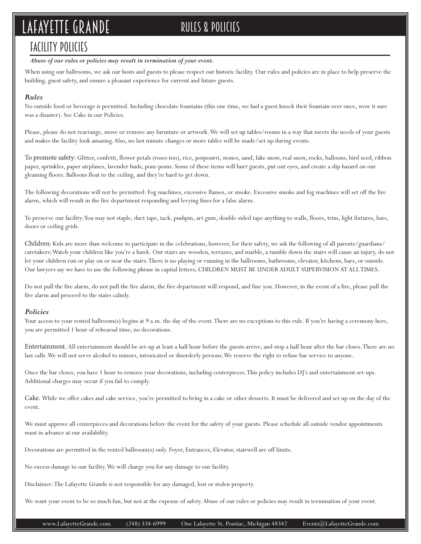# LAFAYETTE GRANDE RULES & POLICIES

## Facility Policies

### *Abuse of our rules or policies may result in termination of your event.*

When using our ballrooms, we ask our hosts and guests to please respect our historic facility. Our rules and policies are in place to help preserve the building, guest safety, and ensure a pleasant experience for current and future guests.

## *Rules*

No outside food or beverage is permitted. Including chocolate fountains (this one time, we had a guest knock their fountain over once, wow it sure was a disaster). See Cake in our Policies.

Please, please do not rearrange, move or remove any furniture or artwork. We will set up tables/rooms in a way that meets the needs of your guests and makes the facility look amazing. Also, no last minute changes or more tables will be made/set up during events.

To promote safety: Glitter, confetti, flower petals (roses too), rice, potpourri, stones, sand, fake snow, real snow, rocks, balloons, bird seed, ribbon paper, sprinkles, paper airplanes, lavender buds, pom-poms. Some of these items will hurt guests, put out eyes, and create a slip hazard on our gleaming floors. Balloons float to the ceiling, and they're hard to get down.

The following decorations will not be permitted: Fog machines, excessive flames, or smoke. Excessive smoke and fog machines will set off the fire alarm, which will result in the fire department responding and levying fines for a false alarm.

To preserve our facility: You may not staple, duct tape, tack, pushpin, art gum, double-sided tape anything to walls, floors, trim, light fixtures, bars, doors or ceiling grids.

Children: Kids are more than welcome to participate in the celebrations, however, for their safety, we ask the following of all parents/guardians/ caretakers: Watch your children like you're a hawk. Our stairs are wooden, terrazzo, and marble, a tumble down the stairs will cause an injury, do not let your children run or play on or near the stairs. There is no playing or running in the ballrooms, bathrooms, elevator, kitchens, bars, or outside. Our lawyers say we have to use the following phrase in capital letters; CHILDREN MUST BE UNDER ADULT SUPERVISION AT ALL TIMES.

Do not pull the fire alarm, do not pull the fire alarm, the fire department will respond, and fine you. However, in the event of a fire, please pull the fire alarm and proceed to the stairs calmly.

## *Policies*

Your access to your rented ballroom(s) begins at 9 a.m. the day of the event. There are no exceptions to this rule. If you're having a ceremony here, you are permitted 1 hour of rehearsal time, no decorations.

Entertainment. All entertainment should be set-up at least a half hour before the guests arrive, and stop a half hour after the bar closes. There are no last calls. We will not serve alcohol to minors, intoxicated or disorderly persons. We reserve the right to refuse bar service to anyone.

Once the bar closes, you have 1 hour to remove your decorations, including centerpieces. This policy includes DJ's and entertainment set-ups. Additional charges may occur if you fail to comply.

Cake. While we offer cakes and cake service, you're permitted to bring in a cake or other desserts. It must be delivered and set up on the day of the event.

We must approve all centerpieces and decorations before the event for the safety of your guests. Please schedule all outside vendor appointments must in advance at our availability.

Decorations are permitted in the rented ballroom(s) only. Foyer, Entrances, Elevator, stairwell are off limits.

No excess damage to our facility. We will charge you for any damage to our facility.

Disclaimer: The Lafayette Grande is not responsible for any damaged, lost or stolen property.

We want your event to be so much fun, but not at the expense of safety. Abuse of our rules or policies may result in termination of your event.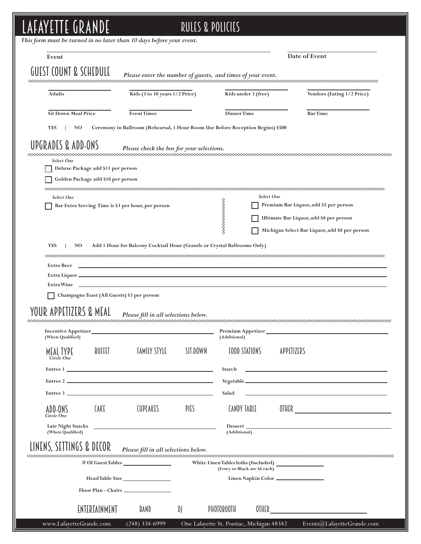# LAFAYETTE GRANDE Rules & policies

| Event                                              |                                                                                 |                                    | Date of Event                                                                                                         |
|----------------------------------------------------|---------------------------------------------------------------------------------|------------------------------------|-----------------------------------------------------------------------------------------------------------------------|
|                                                    |                                                                                 |                                    |                                                                                                                       |
| GUEST COUNT & SCHEDULE                             | Please enter the number of guests, and times of your event.                     |                                    |                                                                                                                       |
| <b>Adults</b>                                      | Kids (3 to 10 years 1/2 Price)                                                  | Kids under 3 (free)                | Vendors (Eating 1/2 Price)                                                                                            |
| <b>Sit Down Meal Price</b>                         | <b>EventTimes</b>                                                               | DinnerTime                         | <b>BarTime</b>                                                                                                        |
| <b>YES</b><br>NO.                                  | Ceremony in Ballroom (Rehearsal, 1 Hour Room Use Before Reception Begins) \$500 |                                    |                                                                                                                       |
| UPGRADES & ADD-ONS                                 |                                                                                 |                                    |                                                                                                                       |
|                                                    | Please check the box for your selections.                                       |                                    |                                                                                                                       |
| Select One<br>Deluxe Package add \$11 per person   |                                                                                 |                                    |                                                                                                                       |
| Golden Package add \$18 per person                 |                                                                                 |                                    |                                                                                                                       |
|                                                    |                                                                                 |                                    |                                                                                                                       |
| Select One                                         |                                                                                 | Select One                         |                                                                                                                       |
| Bar Extra Serving Time is \$3 per hour, per person |                                                                                 |                                    | Premium Bar Liquor, add \$5 per person                                                                                |
|                                                    |                                                                                 |                                    | Ultimate Bar Liquor, add \$8 per person                                                                               |
|                                                    |                                                                                 |                                    |                                                                                                                       |
|                                                    |                                                                                 |                                    | Michigan Select Bar Liquor, add \$8 per person                                                                        |
| <b>YES</b><br>NO                                   | Add 1 Hour for Balcony Cocktail Hour (Grande or Crystal Ballrooms Only)         |                                    |                                                                                                                       |
|                                                    |                                                                                 |                                    |                                                                                                                       |
| Extra Beer                                         |                                                                                 |                                    |                                                                                                                       |
|                                                    |                                                                                 |                                    |                                                                                                                       |
|                                                    |                                                                                 |                                    |                                                                                                                       |
|                                                    |                                                                                 |                                    |                                                                                                                       |
| Champagne Toast (All Guests) \$3 per person        |                                                                                 |                                    |                                                                                                                       |
|                                                    |                                                                                 |                                    |                                                                                                                       |
| YOUR APPETIZERS & MEAL                             | Please fill in all selections below.                                            |                                    |                                                                                                                       |
|                                                    |                                                                                 |                                    |                                                                                                                       |
| <b>Incentive Appetizer</b>                         |                                                                                 | Premium Appetizer                  |                                                                                                                       |
| (When Qualified)                                   |                                                                                 | (Additional)                       |                                                                                                                       |
| BUFFET<br>MEAL TYPE                                | <b>FAMILY STYLE</b><br>SIT-DOWN                                                 | <b>FOOD STATIONS</b>               | APPETIZERS                                                                                                            |
| Circle One                                         |                                                                                 |                                    |                                                                                                                       |
|                                                    |                                                                                 | Starch                             | <u> 1989 - Johann Harry Harry Harry Harry Harry Harry Harry Harry Harry Harry Harry Harry Harry Harry Harry Harry</u> |
|                                                    | Entree 2                                                                        |                                    |                                                                                                                       |
|                                                    | Entre 3                                                                         | Salad                              | <u> 1989 - Andrea Stadt Britain, amerikansk politiker (d. 1989)</u>                                                   |
| <b>CAKE</b><br>ADD-ONS                             | <b>CUPCAKES</b><br>PIES                                                         | CANDY TABLE                        |                                                                                                                       |
| Circle One                                         |                                                                                 |                                    |                                                                                                                       |
| (When Qualified)                                   |                                                                                 | (Additional)                       |                                                                                                                       |
|                                                    |                                                                                 |                                    |                                                                                                                       |
| LINENS, SETTINGS & DECOR                           | Please fill in all selections below.                                            |                                    |                                                                                                                       |
|                                                    | # Of Guest Tables                                                               | White Linen Tablecloths (Included) |                                                                                                                       |
|                                                    |                                                                                 | (Ivory or Black are \$6 each)      |                                                                                                                       |
|                                                    | Head Table Size                                                                 | Linen Napkin Color                 |                                                                                                                       |
|                                                    |                                                                                 |                                    |                                                                                                                       |
|                                                    |                                                                                 |                                    |                                                                                                                       |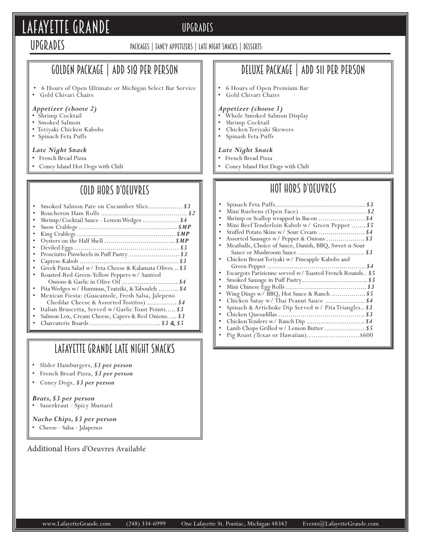# LAFAYETTE GRANDE UPGRADES

## **UPGRADES**

## Packages | fancy appetizers | late night snacks | desserts

## Golden Package | add \$18 per person

• 6 Hours of Open Ultimate or Michigan Select Bar Service • Gold Chivari Chairs

### *Appetizer (choose 2)*

- Shrimp Cocktail
- Smoked Salmon
- Teriyaki Chicken Kabobs
- Spinach Feta Puffs

### *Late Night Snack*

- French Bread Pizza
- Coney Island Hot Dogs with Chili

## Cold hors d'oeuvres

| Shrimp/Cocktail Sauce - Lemon Wedges  \$4              |
|--------------------------------------------------------|
|                                                        |
|                                                        |
|                                                        |
|                                                        |
|                                                        |
|                                                        |
| Greek Pasta Salad w/ Feta Cheese & Kalamata Olives \$3 |
| Roasted-Red-Green-Yellow Peppers w/ Sautéed            |
|                                                        |
| Pita Wedges w/ Hummus, Tzatziki, & Tabouleh  \$4       |
| Mexican Fiesta: (Guacamole, Fresh Salsa, Jalepeno      |
| Cheddar Cheese & Assorted Tostitos)  \$4               |
| Italian Bruscetta, Served w/Garlic Toast Points \$3    |
| Salmon Lox, Cream Cheese, Capers & Red Onions \$3      |
|                                                        |

## lafayette grande Late night snacks

- Slider Hamburgers, *\$3 per person*
- French Bread Pizza, *\$3 per person*
- Coney Dogs, *\$3 per person*

## *Brats, \$3 per person*

• Sauerkraut - Spicy Mustard

## *Nacho Chips, \$3 per person*

• Cheese - Salsa - Jalapenos

Additional Hors d'Oeuvres Available

## Deluxe Package | add \$11 per person

• 6 Hours of Open Premium Bar • Gold Chivari Chairs

## *Appetizer (choose 1)*

- Whole Smoked Salmon Display
- Shrimp Cocktail
- Chicken Teriyaki Skewers
- Spinash Feta Puffs

#### *Late Night Snack*

- French Bread Pizza
- Coney Island Hot Dogs with Chili

## Hot hors d'oeuvres

| ٠ |                                                         |
|---|---------------------------------------------------------|
| ٠ |                                                         |
| ۰ | Mini Beef Tenderloin Kabob w/ Green Pepper  \$5         |
|   |                                                         |
| ٠ | Assorted Sausages w/ Pepper & Onions  \$3               |
|   | Meatballs, Choice of Sauce, Danish, BBQ, Sweet-n-Sour   |
|   |                                                         |
|   | Chicken Breast Teriyaki w/ Pineapple Kabobs and         |
|   |                                                         |
|   | Escargots Parisienne served w/Toasted French Rounds \$5 |
| ٠ |                                                         |
| ٠ |                                                         |
|   | Wing Dings w/BBQ, Hot Sauce & Ranch  \$5                |
|   |                                                         |
|   | Spinach & Artichoke Dip Served w/ Pita Triangles \$3    |
|   |                                                         |
|   |                                                         |
| ٠ | Lamb Chops Grilled w/ Lemon Butter  \$5                 |
|   | Pig Roast (Texas or Hawaiian)\$600                      |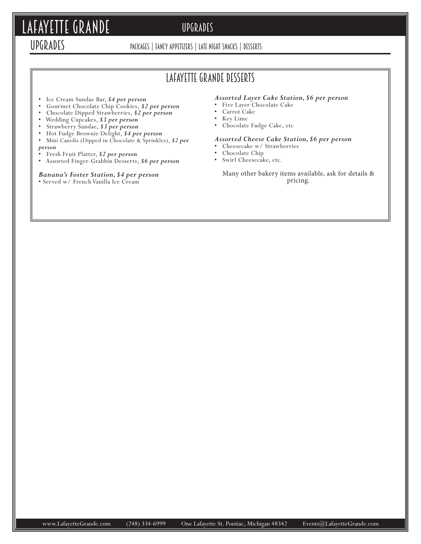# LAFAYETTE GRANDE UPGRADES

## Upgrades

Packages | fancy appetizers | late night snacks | desserts

## lafayette grande Desserts

- Ice Cream Sundae Bar, *\$4 per person*
- Gourmet Chocolate Chip Cookies, *\$2 per person*
- Chocolate Dipped Strawberries, *\$2 per person*
- Wedding Cupcakes, *\$3 per person*
- Strawberry Sundae, *\$3 per person*
- Hot Fudge Brownie Delight, *\$4 per person*
- Mini Canolis (Dipped in Chocolate & Sprinkles), *\$2 per*

### *person*

- Fresh Fruit Platter, *\$2 per person*
- Assorted Finger-Grabbin Desserts, *\$6 per person*

## *Banana's Foster Station, \$4 per person*

• Served w/ French Vanilla Ice Cream

## *Assorted Layer Cake Station, \$6 per person*

- Five Layer Chocolate Cake
- Carrot Cake
- Key Lime
- Chocolate Fudge Cake, etc

## *Assorted Cheese Cake Station, \$6 per person*

- Cheesecake w/ Strawberries
- Chocolate Chip
- Swirl Cheesecake, etc.

Many other bakery items available, ask for details & pricing.